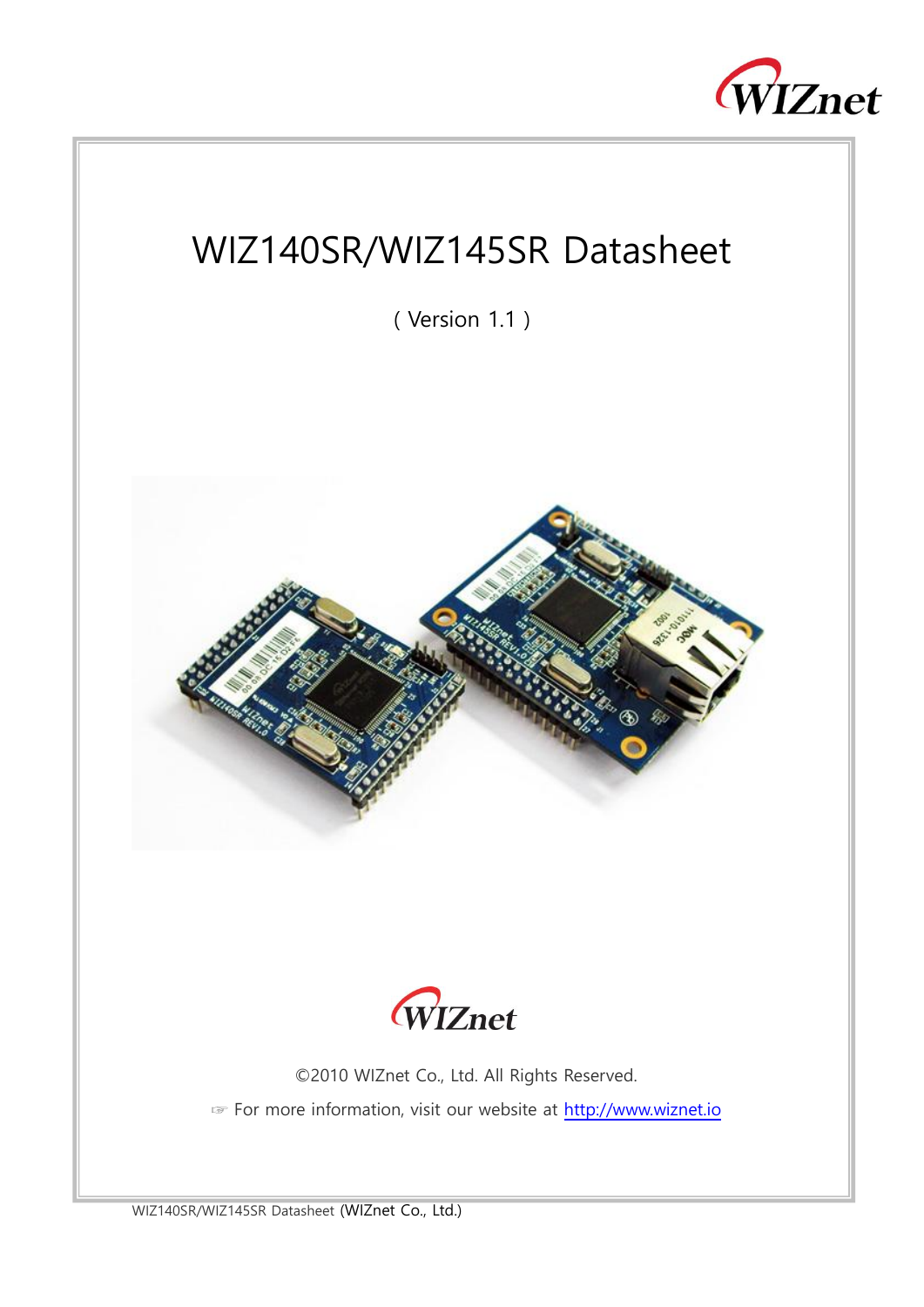

# WIZ140SR/WIZ145SR Datasheet

( Version 1.1 )





©2010 WIZnet Co., Ltd. All Rights Reserved. ☞ For more information, visit our website at [http://www.wiznet.io](http://www.wiznet.io/)

WIZ140SR/WIZ145SR Datasheet (WIZnet Co., Ltd.)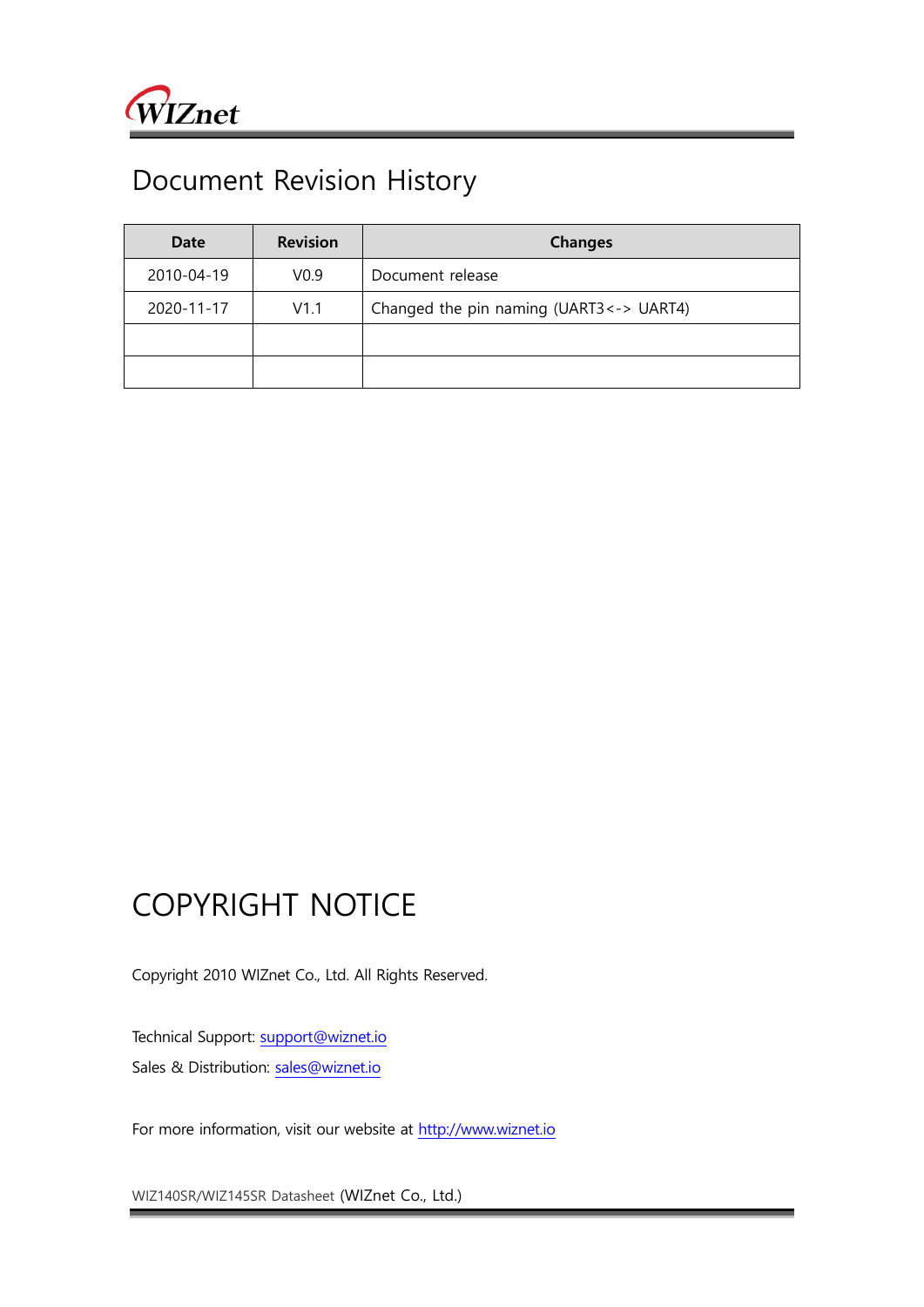

## Document Revision History

| Date       | <b>Revision</b>  | <b>Changes</b>                            |  |
|------------|------------------|-------------------------------------------|--|
| 2010-04-19 | V <sub>0.9</sub> | Document release                          |  |
| 2020-11-17 | V1.1             | Changed the pin naming (UART3 <- > UART4) |  |
|            |                  |                                           |  |
|            |                  |                                           |  |

## COPYRIGHT NOTICE

Copyright 2010 WIZnet Co., Ltd. All Rights Reserved.

Technical Support: [support@wiznet.io](mailto:support@wiznet.io) Sales & Distribution: [sales@wiznet.io](mailto:sales@wiznet.io)

For more information, visit our website at [http://www.wiznet.io](http://www.wiznet.io/)

WIZ140SR/WIZ145SR Datasheet (WIZnet Co., Ltd.)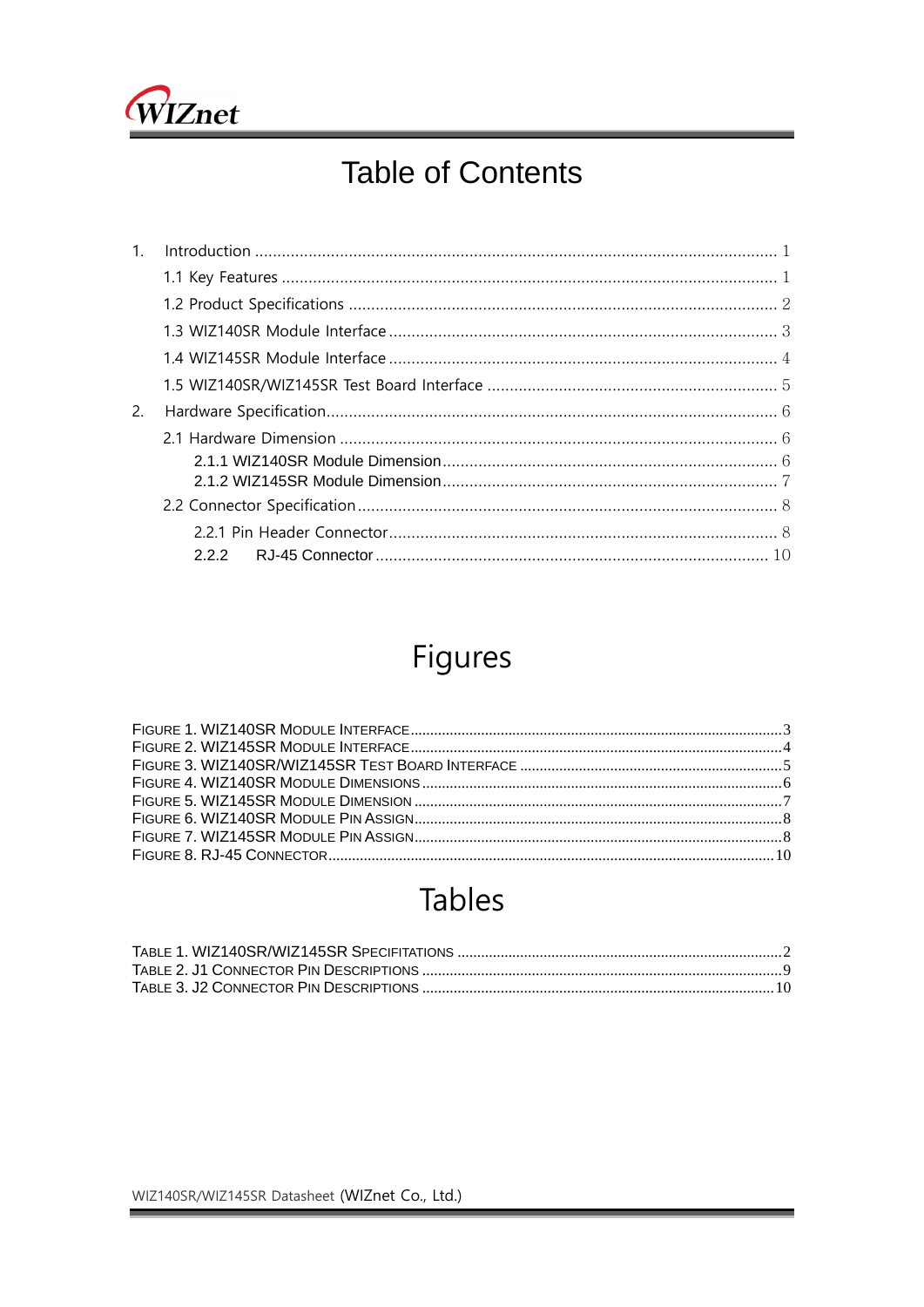

# **Table of Contents**

| 1 <sup>1</sup> |  |
|----------------|--|
|                |  |
|                |  |
|                |  |
|                |  |
|                |  |
| 2.             |  |
|                |  |
|                |  |
|                |  |
|                |  |
|                |  |
|                |  |

# Figures

# **Tables**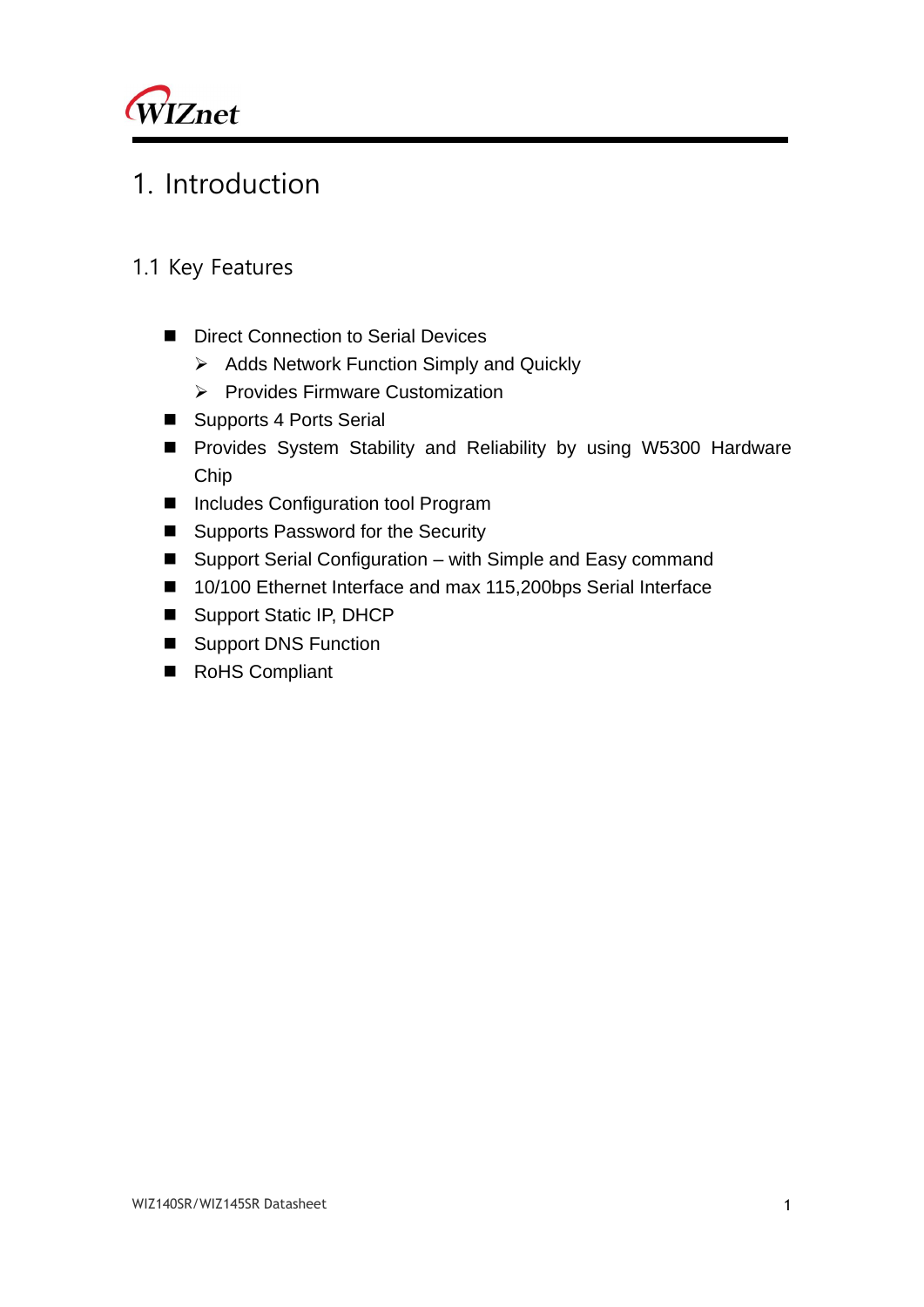

## <span id="page-3-0"></span>1. Introduction

- <span id="page-3-1"></span>1.1 Key Features
	- Direct Connection to Serial Devices
		- ➢ Adds Network Function Simply and Quickly
		- ➢ Provides Firmware Customization
	- Supports 4 Ports Serial
	- Provides System Stability and Reliability by using W5300 Hardware Chip
	- Includes Configuration tool Program
	- Supports Password for the Security
	- Support Serial Configuration with Simple and Easy command
	- 10/100 Ethernet Interface and max 115,200bps Serial Interface
	- Support Static IP, DHCP
	- Support DNS Function
	- RoHS Compliant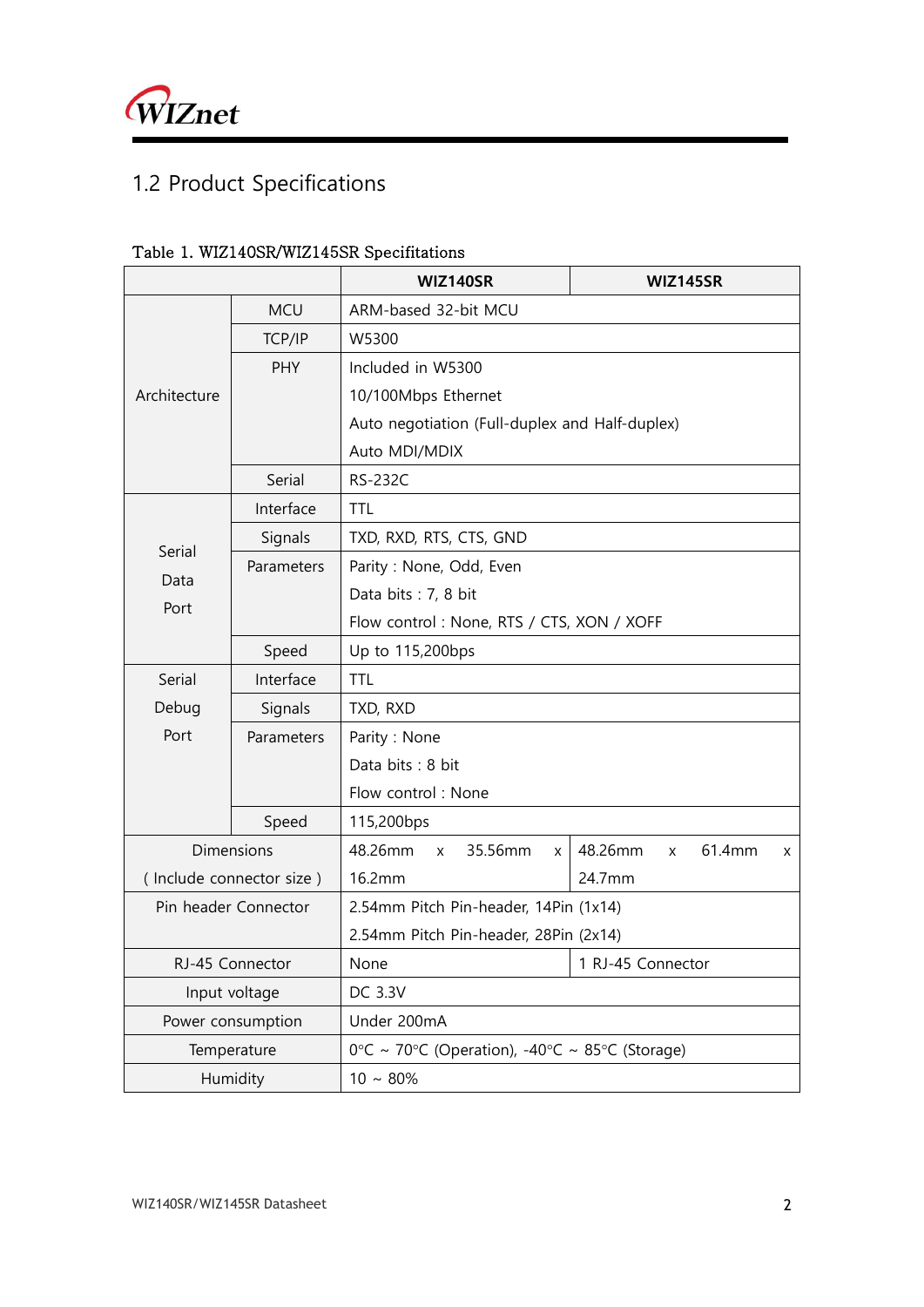

## <span id="page-4-0"></span>1.2 Product Specifications

|                          |            | <b>WIZ140SR</b><br>WIZ145SR                    |                                           |  |  |  |  |  |
|--------------------------|------------|------------------------------------------------|-------------------------------------------|--|--|--|--|--|
|                          | <b>MCU</b> | ARM-based 32-bit MCU                           |                                           |  |  |  |  |  |
|                          | TCP/IP     | W5300                                          |                                           |  |  |  |  |  |
|                          | <b>PHY</b> | Included in W5300                              |                                           |  |  |  |  |  |
| Architecture             |            | 10/100Mbps Ethernet                            |                                           |  |  |  |  |  |
|                          |            | Auto negotiation (Full-duplex and Half-duplex) |                                           |  |  |  |  |  |
|                          |            | Auto MDI/MDIX                                  |                                           |  |  |  |  |  |
|                          | Serial     | <b>RS-232C</b>                                 |                                           |  |  |  |  |  |
|                          | Interface  | <b>TTL</b>                                     |                                           |  |  |  |  |  |
| Serial                   | Signals    | TXD, RXD, RTS, CTS, GND                        |                                           |  |  |  |  |  |
| Data                     | Parameters | Parity: None, Odd, Even                        |                                           |  |  |  |  |  |
| Port                     |            | Data bits: 7, 8 bit                            |                                           |  |  |  |  |  |
|                          |            |                                                | Flow control: None, RTS / CTS, XON / XOFF |  |  |  |  |  |
|                          | Speed      | Up to 115,200bps                               |                                           |  |  |  |  |  |
| Serial                   | Interface  | <b>TTL</b>                                     |                                           |  |  |  |  |  |
| Debug                    | Signals    | TXD, RXD                                       |                                           |  |  |  |  |  |
| Port                     | Parameters | Parity: None                                   |                                           |  |  |  |  |  |
|                          |            | Data bits: 8 bit                               |                                           |  |  |  |  |  |
|                          |            | Flow control: None                             |                                           |  |  |  |  |  |
|                          | Speed      | 115,200bps                                     |                                           |  |  |  |  |  |
|                          | Dimensions | 48.26mm<br>35.56mm<br>X<br>X                   | 48.26mm<br>61.4mm<br>X<br>X               |  |  |  |  |  |
| (Include connector size) |            | 16.2mm                                         | 24.7mm                                    |  |  |  |  |  |
| Pin header Connector     |            | 2.54mm Pitch Pin-header, 14Pin (1x14)          |                                           |  |  |  |  |  |
|                          |            | 2.54mm Pitch Pin-header, 28Pin (2x14)          |                                           |  |  |  |  |  |
| RJ-45 Connector          |            | None<br>1 RJ-45 Connector                      |                                           |  |  |  |  |  |
| Input voltage            |            | DC 3.3V                                        |                                           |  |  |  |  |  |
| Power consumption        |            | Under 200mA                                    |                                           |  |  |  |  |  |
| Temperature              |            | 0°C ~ 70°C (Operation), -40°C ~ 85°C (Storage) |                                           |  |  |  |  |  |
| Humidity                 |            | $10 \sim 80\%$                                 |                                           |  |  |  |  |  |

#### <span id="page-4-1"></span>Table 1. WIZ140SR/WIZ145SR Specifitations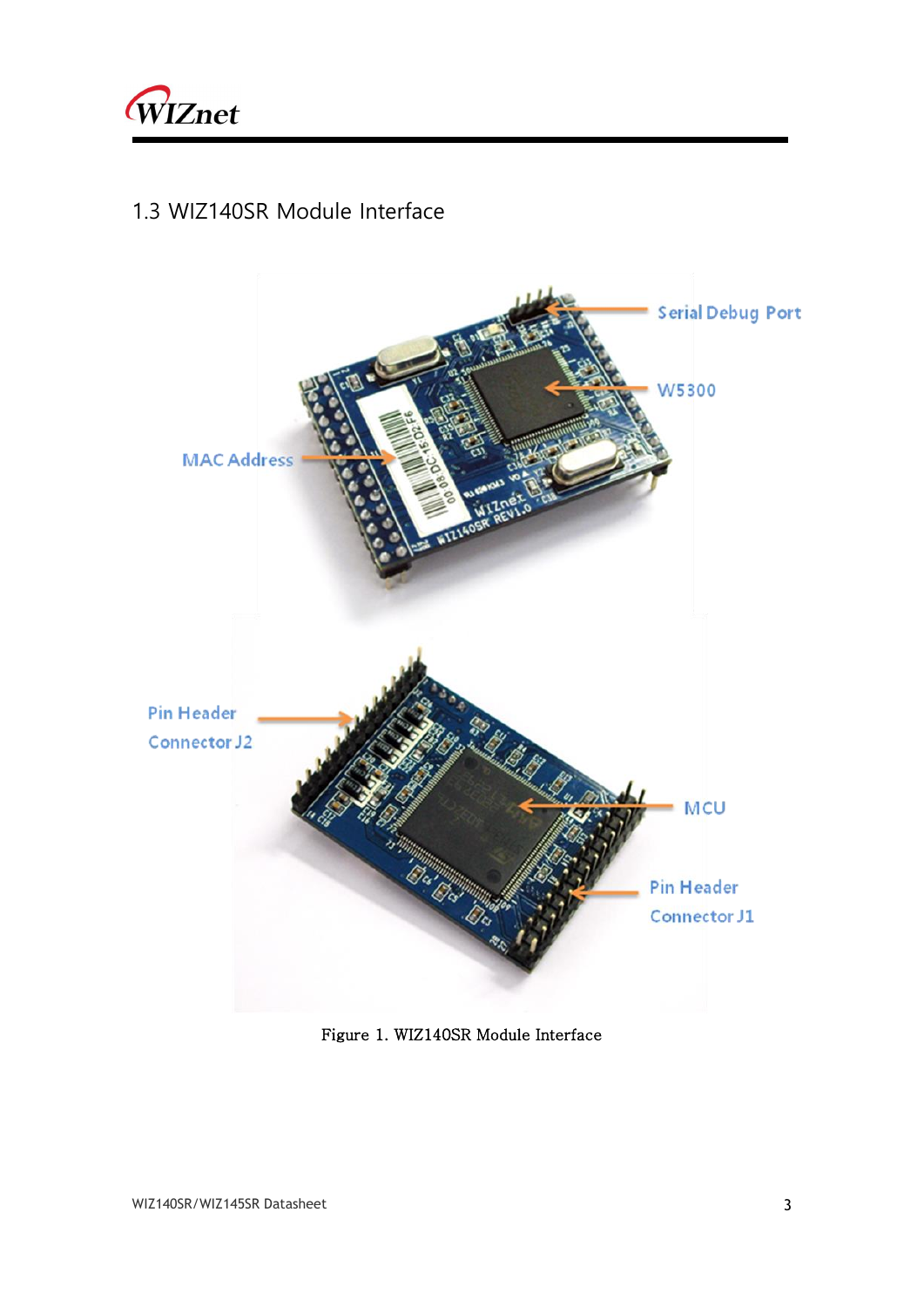

#### <span id="page-5-0"></span>1.3 WIZ140SR Module Interface

<span id="page-5-1"></span>

Figure 1. WIZ140SR Module Interface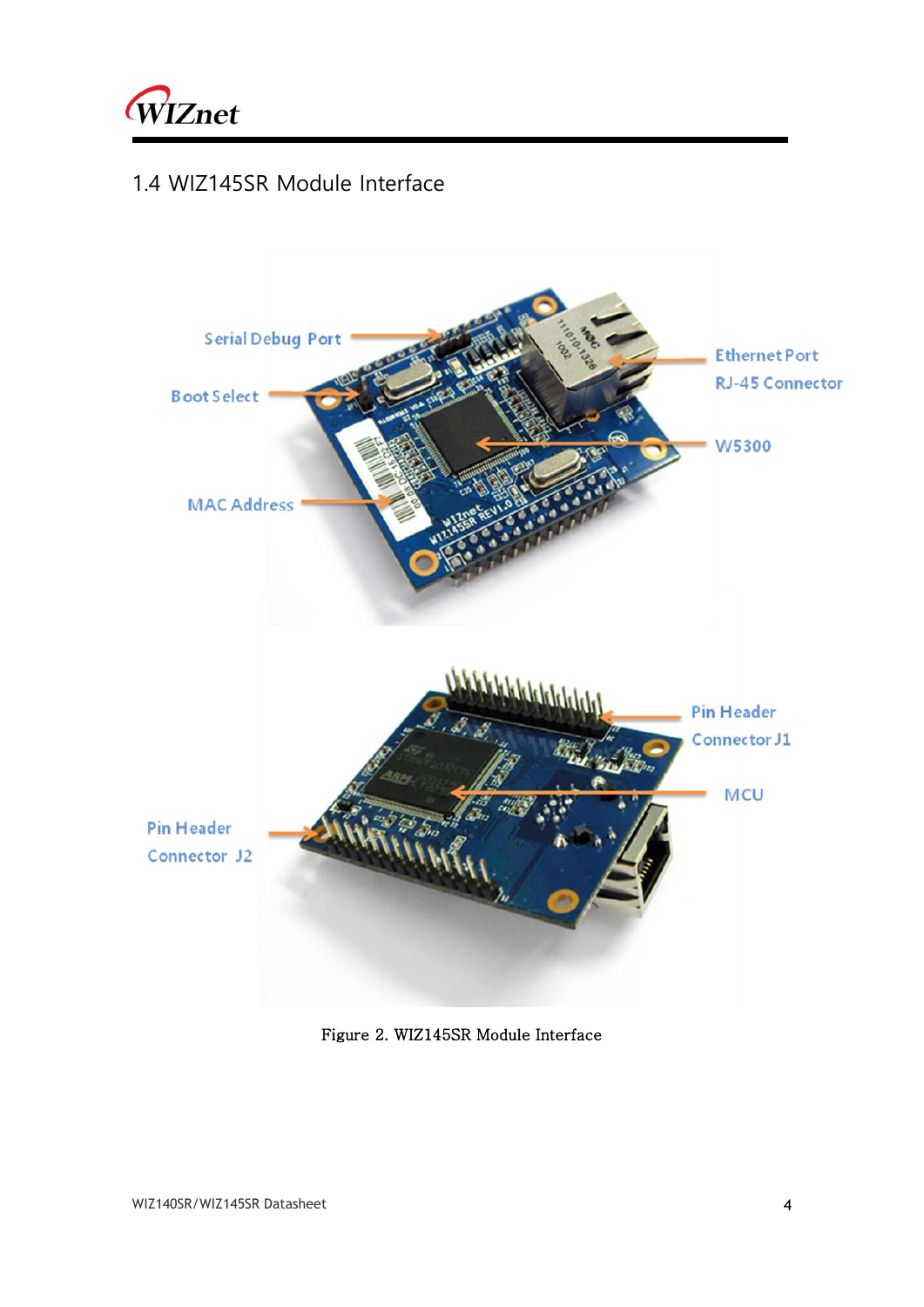

### <span id="page-6-0"></span>1.4 WIZ145SR Module Interface

<span id="page-6-1"></span>

Figure 2. WIZ145SR Module Interface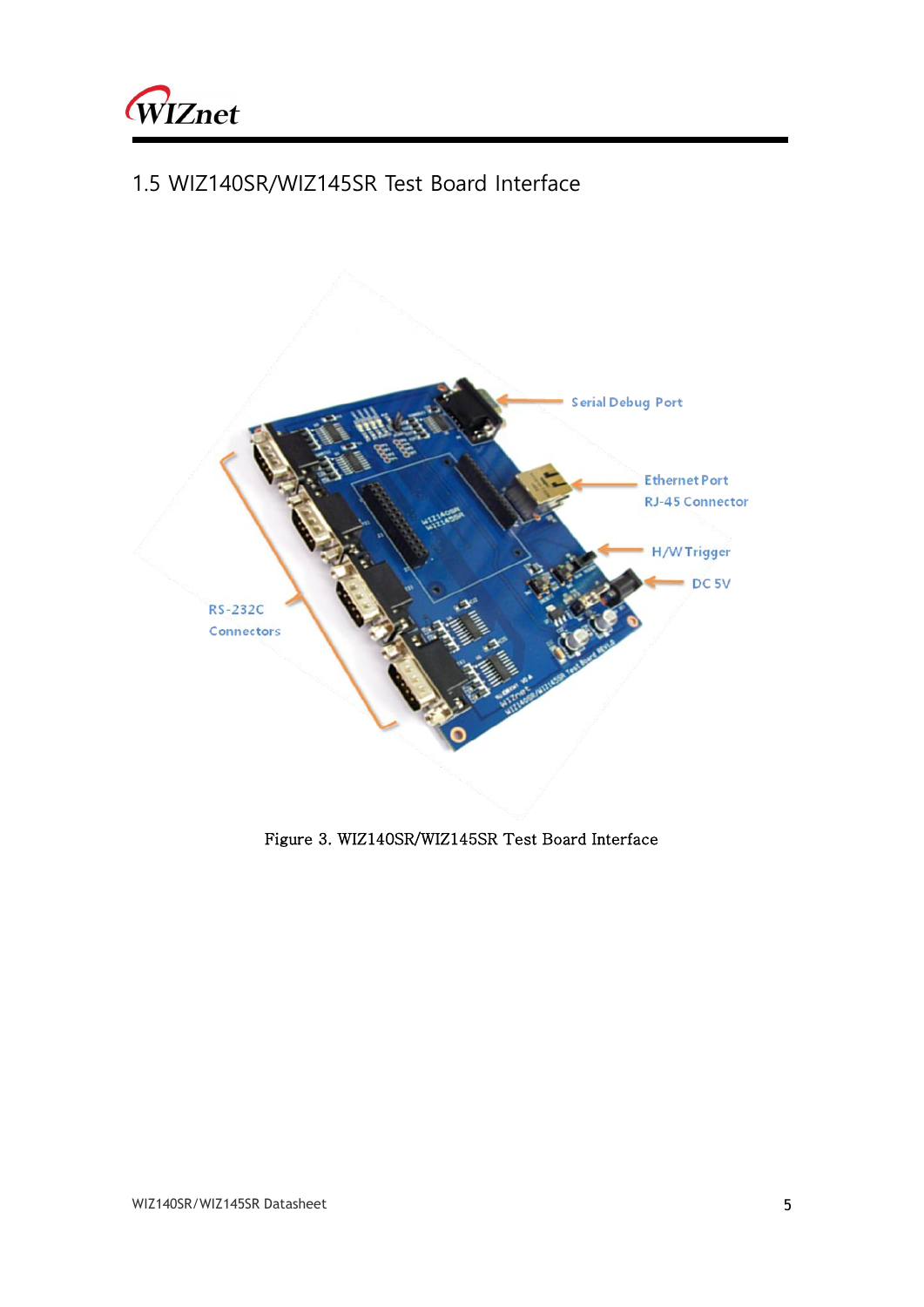

### <span id="page-7-0"></span>1.5 WIZ140SR/WIZ145SR Test Board Interface



<span id="page-7-1"></span>Figure 3. WIZ140SR/WIZ145SR Test Board Interface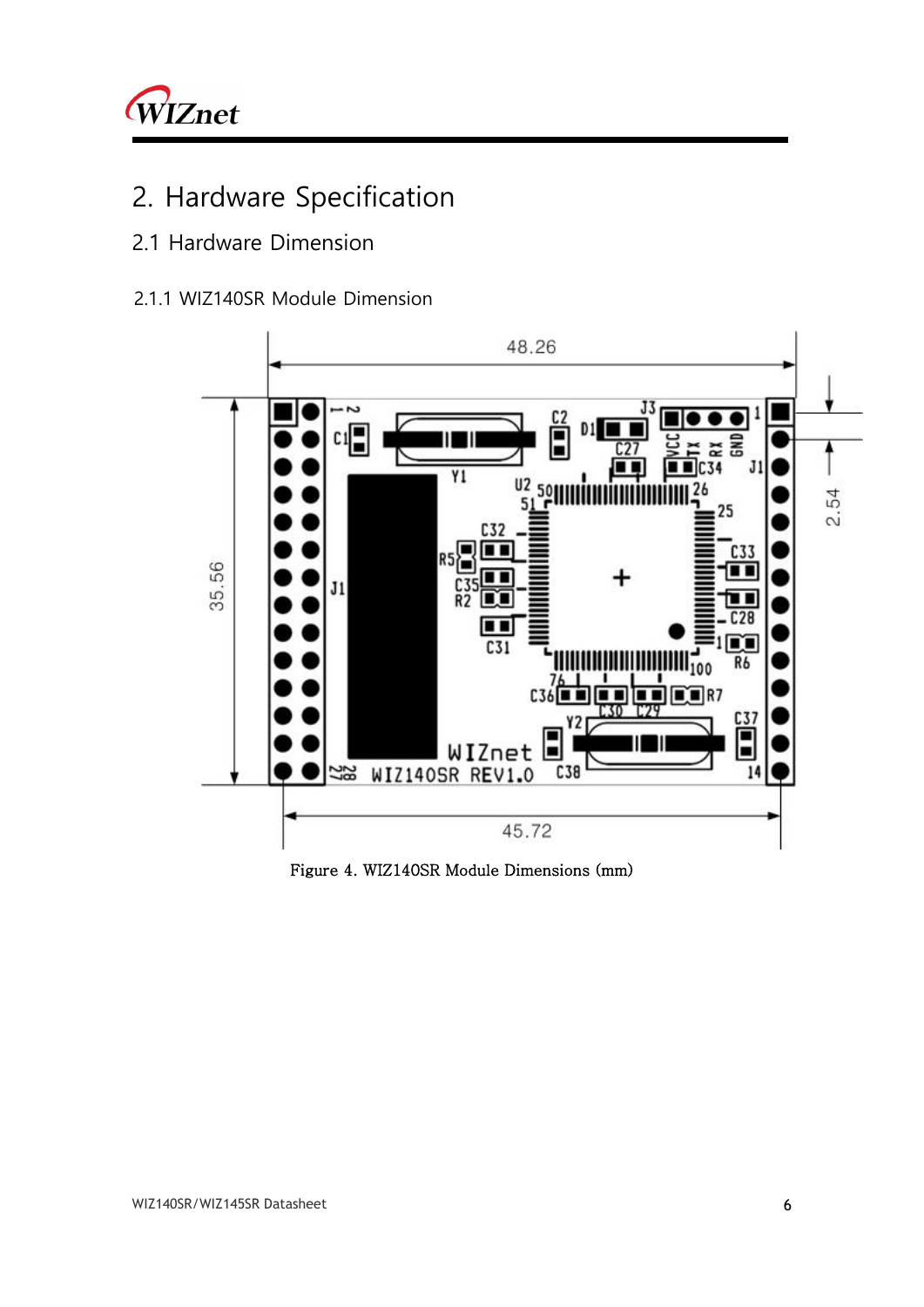

## <span id="page-8-0"></span>2. Hardware Specification

### <span id="page-8-1"></span>2.1 Hardware Dimension

#### <span id="page-8-2"></span>2.1.1 WIZ140SR Module Dimension



<span id="page-8-3"></span>Figure 4. WIZ140SR Module Dimensions (mm)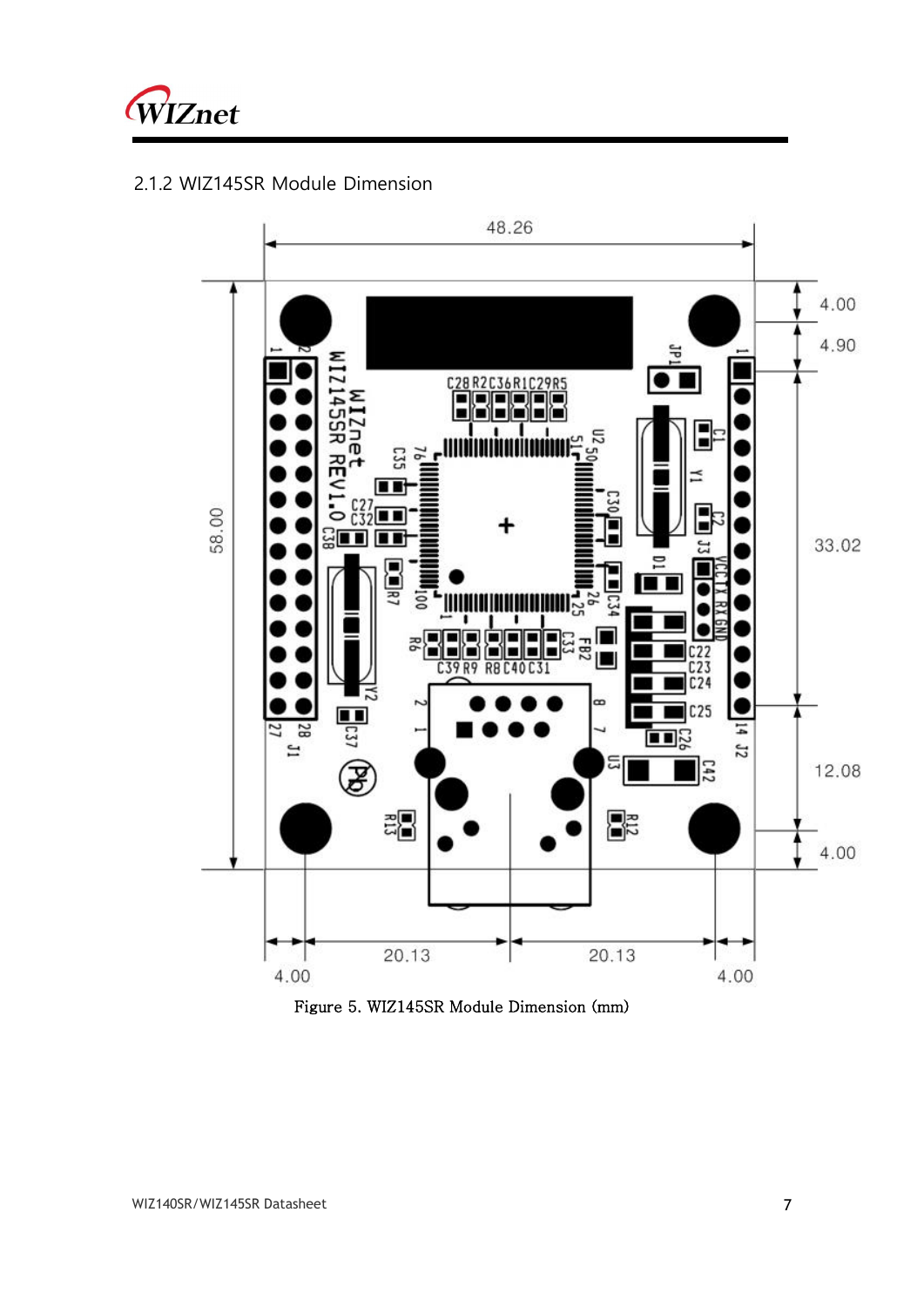

### <span id="page-9-0"></span>2.1.2 WIZ145SR Module Dimension



<span id="page-9-1"></span>Figure 5. WIZ145SR Module Dimension (mm)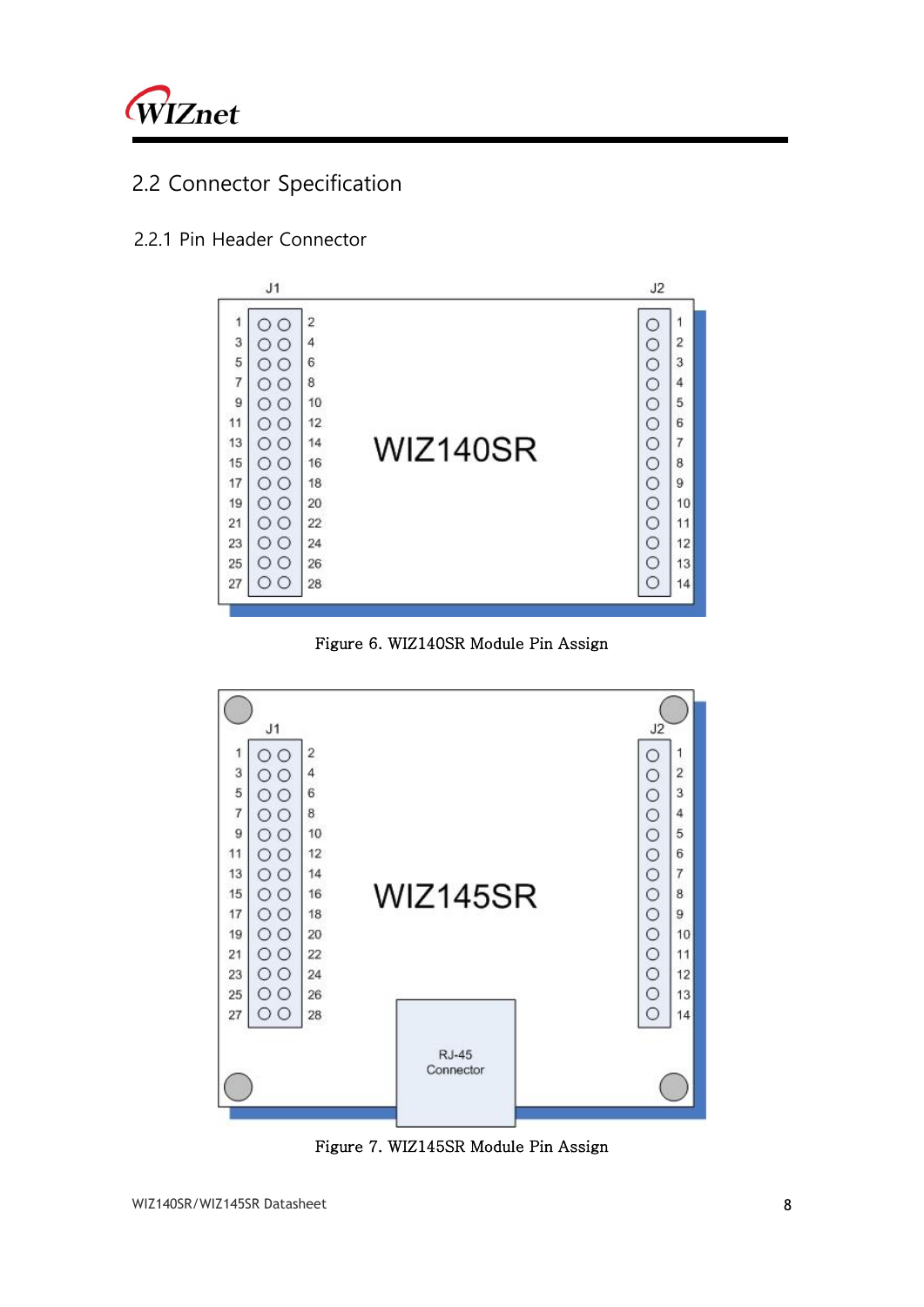

### <span id="page-10-0"></span>2.2 Connector Specification

#### <span id="page-10-1"></span>2.2.1 Pin Header Connector

|                | J1                                                 |    |          | J2      |                |
|----------------|----------------------------------------------------|----|----------|---------|----------------|
| 1              | ∍                                                  | 2  |          | O       | 1              |
|                | ∩                                                  | 4  |          | $\circ$ | $\overline{2}$ |
| $\frac{3}{5}$  | ∩                                                  | 6  |          | $\circ$ | 3              |
| $\overline{7}$ | ∩                                                  | 8  |          | $\circ$ | 4              |
| 9              | $\bigcirc$                                         | 10 |          | $\circ$ | 5              |
| 11             | Ο<br>$^{(+)}$                                      | 12 |          | $\circ$ | 6              |
| 13             | $\circ$<br>$^{\circ}$                              | 14 | WIZ140SR | $\circ$ | $\overline{7}$ |
| 15             | Ω                                                  | 16 |          | $\circ$ | 8              |
| 17             | $\circ$                                            | 18 |          | $\circ$ | 9              |
| 19             | O<br>$\left( \begin{array}{c} \end{array} \right)$ | 20 |          | $\circ$ | 10             |
| 21             | Ω<br>$\left( \right)$                              | 22 |          | $\circ$ | 11             |
| 23             | $\circ$<br>∩                                       | 24 |          | $\circ$ | 12             |
| 25             | O                                                  | 26 |          | $\circ$ | 13             |
| 27             | $\left( \begin{array}{c} \end{array} \right)$      | 28 |          | Ō       | 14             |

Figure 6. WIZ140SR Module Pin Assign

<span id="page-10-2"></span>

<span id="page-10-3"></span>Figure 7. WIZ145SR Module Pin Assign

L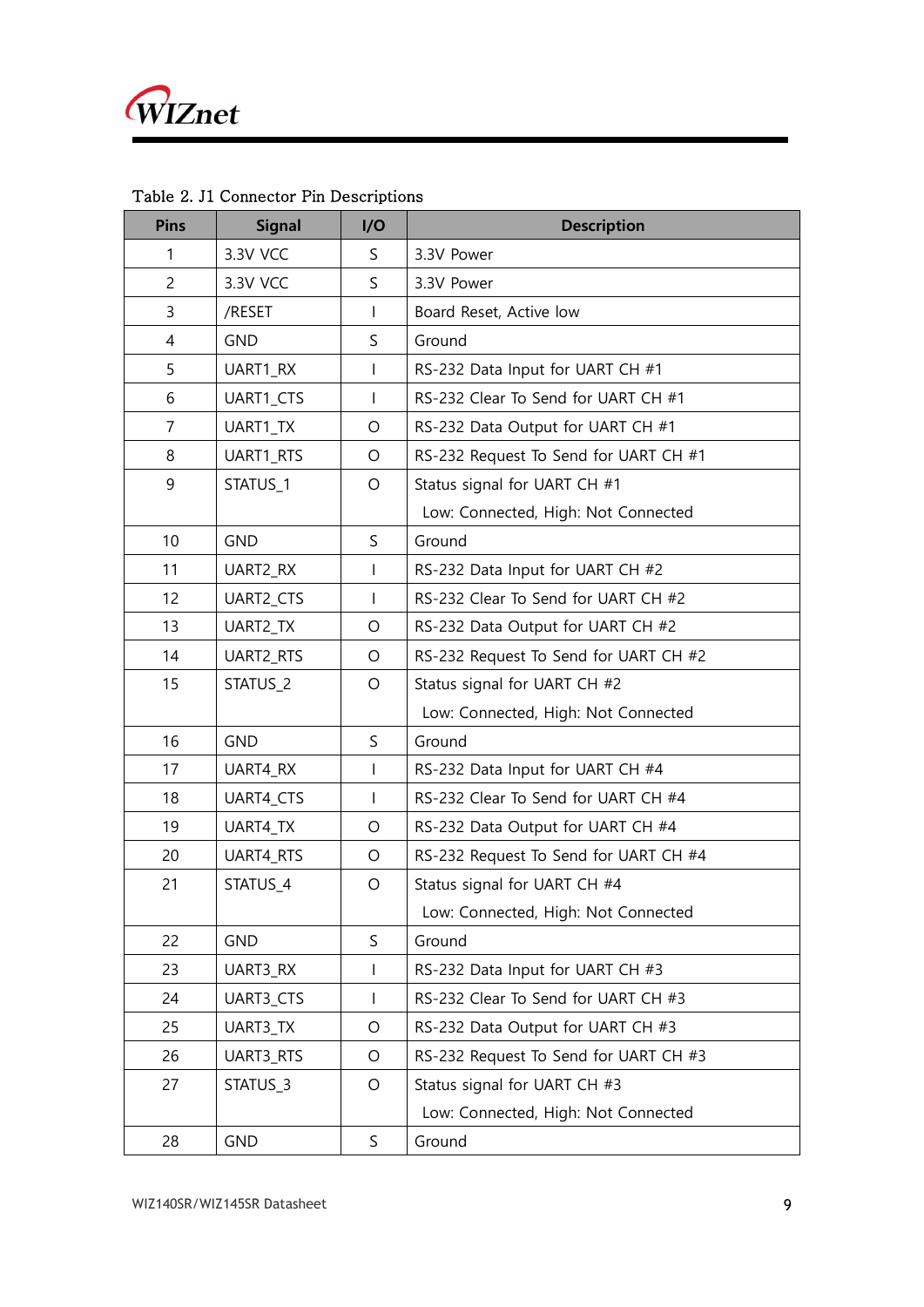| <b>Pins</b>    | <b>Signal</b> | I/O            | <b>Description</b>                    |
|----------------|---------------|----------------|---------------------------------------|
| $\mathbf{1}$   | 3.3V VCC      | S              | 3.3V Power                            |
| $\overline{c}$ | 3.3V VCC      | S              | 3.3V Power                            |
| 3              | /RESET        | T              | Board Reset, Active low               |
| $\overline{4}$ | <b>GND</b>    | S              | Ground                                |
| 5              | UART1_RX      | I              | RS-232 Data Input for UART CH #1      |
| 6              | UART1_CTS     | $\overline{1}$ | RS-232 Clear To Send for UART CH #1   |
| 7              | UART1_TX      | $\circ$        | RS-232 Data Output for UART CH #1     |
| 8              | UART1_RTS     | O              | RS-232 Request To Send for UART CH #1 |
| 9              | STATUS_1      | $\circ$        | Status signal for UART CH #1          |
|                |               |                | Low: Connected, High: Not Connected   |
| 10             | <b>GND</b>    | S              | Ground                                |
| 11             | UART2_RX      | T              | RS-232 Data Input for UART CH #2      |
| 12             | UART2_CTS     | I              | RS-232 Clear To Send for UART CH #2   |
| 13             | UART2_TX      | $\circ$        | RS-232 Data Output for UART CH #2     |
| 14             | UART2_RTS     | O              | RS-232 Request To Send for UART CH #2 |
| 15             | STATUS_2      | $\circ$        | Status signal for UART CH #2          |
|                |               |                | Low: Connected, High: Not Connected   |
| 16             | <b>GND</b>    | S              | Ground                                |
| 17             | UART4_RX      | $\overline{1}$ | RS-232 Data Input for UART CH #4      |
| 18             | UART4_CTS     | $\overline{1}$ | RS-232 Clear To Send for UART CH #4   |
| 19             | UART4_TX      | $\circ$        | RS-232 Data Output for UART CH #4     |
| 20             | UART4_RTS     | O              | RS-232 Request To Send for UART CH #4 |
| 21             | STATUS_4      | O              | Status signal for UART CH #4          |
|                |               |                | Low: Connected, High: Not Connected   |
| 22             | <b>GND</b>    | S              | Ground                                |
| 23             | UART3_RX      | I              | RS-232 Data Input for UART CH #3      |
| 24             | UART3_CTS     | I              | RS-232 Clear To Send for UART CH #3   |
| 25             | UART3_TX      | $\circ$        | RS-232 Data Output for UART CH #3     |
| 26             | UART3_RTS     | $\circ$        | RS-232 Request To Send for UART CH #3 |
| 27             | STATUS_3      | $\circ$        | Status signal for UART CH #3          |
|                |               |                | Low: Connected, High: Not Connected   |
| 28             | <b>GND</b>    | S              | Ground                                |

<span id="page-11-0"></span>Table 2. J1 Connector Pin Descriptions